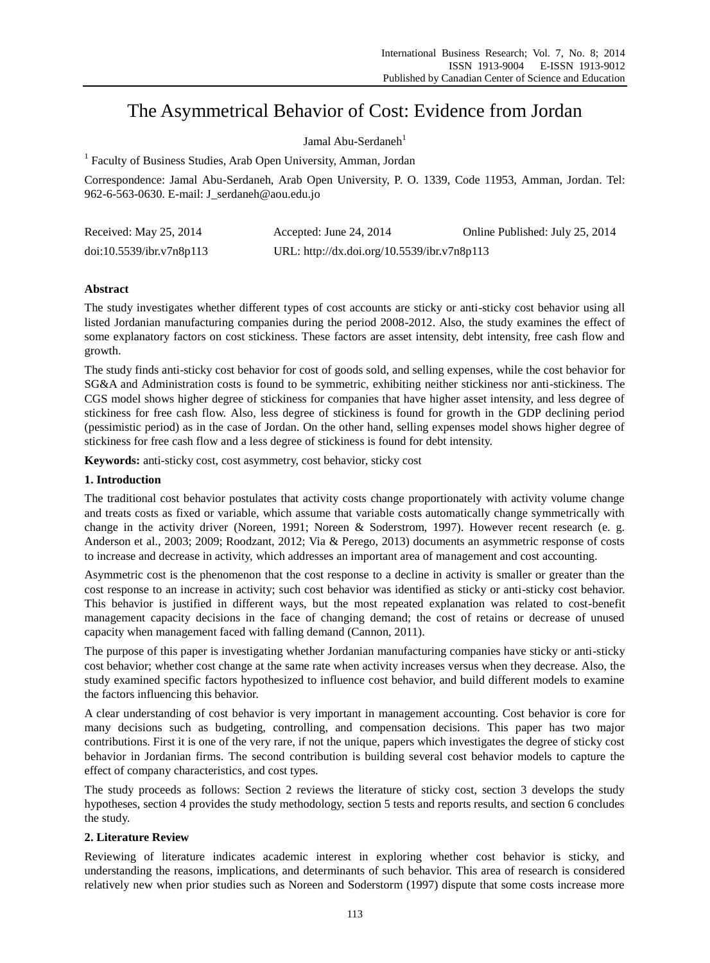# The Asymmetrical Behavior of Cost: Evidence from Jordan

#### Jamal Abu-Serdaneh $<sup>1</sup>$ </sup>

<sup>1</sup> Faculty of Business Studies, Arab Open University, Amman, Jordan

Correspondence: Jamal Abu-Serdaneh, Arab Open University, P. O. 1339, Code 11953, Amman, Jordan. Tel: 962-6-563-0630. E-mail: J\_serdaneh@aou.edu.jo

| Received: May 25, 2014   | Accepted: June 24, $2014$                   | Online Published: July 25, 2014 |
|--------------------------|---------------------------------------------|---------------------------------|
| doi:10.5539/ibr.v7n8p113 | URL: http://dx.doi.org/10.5539/ibr.v7n8p113 |                                 |

## **Abstract**

The study investigates whether different types of cost accounts are sticky or anti-sticky cost behavior using all listed Jordanian manufacturing companies during the period 2008-2012. Also, the study examines the effect of some explanatory factors on cost stickiness. These factors are asset intensity, debt intensity, free cash flow and growth.

The study finds anti-sticky cost behavior for cost of goods sold, and selling expenses, while the cost behavior for SG&A and Administration costs is found to be symmetric, exhibiting neither stickiness nor anti-stickiness. The CGS model shows higher degree of stickiness for companies that have higher asset intensity, and less degree of stickiness for free cash flow. Also, less degree of stickiness is found for growth in the GDP declining period (pessimistic period) as in the case of Jordan. On the other hand, selling expenses model shows higher degree of stickiness for free cash flow and a less degree of stickiness is found for debt intensity.

**Keywords:** anti-sticky cost, cost asymmetry, cost behavior, sticky cost

## **1. Introduction**

The traditional cost behavior postulates that activity costs change proportionately with activity volume change and treats costs as fixed or variable, which assume that variable costs automatically change symmetrically with change in the activity driver (Noreen, 1991; Noreen & Soderstrom, 1997). However recent research (e. g. Anderson et al., 2003; 2009; Roodzant, 2012; Via & Perego, 2013) documents an asymmetric response of costs to increase and decrease in activity, which addresses an important area of management and cost accounting.

Asymmetric cost is the phenomenon that the cost response to a decline in activity is smaller or greater than the cost response to an increase in activity; such cost behavior was identified as sticky or anti-sticky cost behavior. This behavior is justified in different ways, but the most repeated explanation was related to cost-benefit management capacity decisions in the face of changing demand; the cost of retains or decrease of unused capacity when management faced with falling demand (Cannon, 2011).

The purpose of this paper is investigating whether Jordanian manufacturing companies have sticky or anti-sticky cost behavior; whether cost change at the same rate when activity increases versus when they decrease. Also, the study examined specific factors hypothesized to influence cost behavior, and build different models to examine the factors influencing this behavior.

A clear understanding of cost behavior is very important in management accounting. Cost behavior is core for many decisions such as budgeting, controlling, and compensation decisions. This paper has two major contributions. First it is one of the very rare, if not the unique, papers which investigates the degree of sticky cost behavior in Jordanian firms. The second contribution is building several cost behavior models to capture the effect of company characteristics, and cost types.

The study proceeds as follows: Section 2 reviews the literature of sticky cost, section 3 develops the study hypotheses, section 4 provides the study methodology, section 5 tests and reports results, and section 6 concludes the study.

## **2. Literature Review**

Reviewing of literature indicates academic interest in exploring whether cost behavior is sticky, and understanding the reasons, implications, and determinants of such behavior. This area of research is considered relatively new when prior studies such as Noreen and Soderstorm (1997) dispute that some costs increase more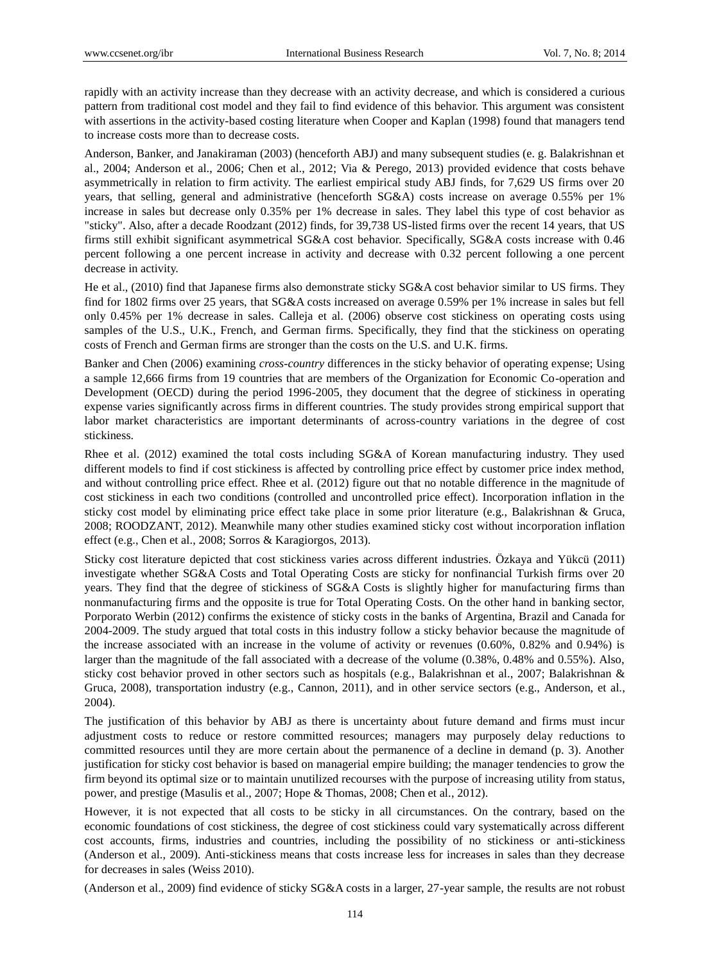rapidly with an activity increase than they decrease with an activity decrease, and which is considered a curious pattern from traditional cost model and they fail to find evidence of this behavior. This argument was consistent with assertions in the activity-based costing literature when Cooper and Kaplan (1998) found that managers tend to increase costs more than to decrease costs.

Anderson, Banker, and Janakiraman (2003) (henceforth ABJ) and many subsequent studies (e. g. Balakrishnan et al., 2004; Anderson et al., 2006; Chen et al., 2012; Via & Perego, 2013) provided evidence that costs behave asymmetrically in relation to firm activity. The earliest empirical study ABJ finds, for 7,629 US firms over 20 years, that selling, general and administrative (henceforth SG&A) costs increase on average 0.55% per 1% increase in sales but decrease only 0.35% per 1% decrease in sales. They label this type of cost behavior as "sticky". Also, after a decade Roodzant (2012) finds, for 39,738 US-listed firms over the recent 14 years, that US firms still exhibit significant asymmetrical SG&A cost behavior. Specifically, SG&A costs increase with 0.46 percent following a one percent increase in activity and decrease with 0.32 percent following a one percent decrease in activity.

He et al., (2010) find that Japanese firms also demonstrate sticky SG&A cost behavior similar to US firms. They find for 1802 firms over 25 years, that SG&A costs increased on average 0.59% per 1% increase in sales but fell only 0.45% per 1% decrease in sales. Calleja et al. (2006) observe cost stickiness on operating costs using samples of the U.S., U.K., French, and German firms. Specifically, they find that the stickiness on operating costs of French and German firms are stronger than the costs on the U.S. and U.K. firms.

Banker and Chen (2006) examining *cross-country* differences in the sticky behavior of operating expense; Using a sample 12,666 firms from 19 countries that are members of the Organization for Economic Co-operation and Development (OECD) during the period 1996-2005, they document that the degree of stickiness in operating expense varies significantly across firms in different countries. The study provides strong empirical support that labor market characteristics are important determinants of across-country variations in the degree of cost stickiness.

Rhee et al. (2012) examined the total costs including SG&A of Korean manufacturing industry. They used different models to find if cost stickiness is affected by controlling price effect by customer price index method, and without controlling price effect. Rhee et al. (2012) figure out that no notable difference in the magnitude of cost stickiness in each two conditions (controlled and uncontrolled price effect). Incorporation inflation in the sticky cost model by eliminating price effect take place in some prior literature (e.g., Balakrishnan & Gruca, 2008; ROODZANT, 2012). Meanwhile many other studies examined sticky cost without incorporation inflation effect (e.g., Chen et al., 2008; Sorros & Karagiorgos, 2013).

Sticky cost literature depicted that cost stickiness varies across different industries. Özkaya and Yükcü (2011) investigate whether SG&A Costs and Total Operating Costs are sticky for nonfinancial Turkish firms over 20 years. They find that the degree of stickiness of SG&A Costs is slightly higher for manufacturing firms than nonmanufacturing firms and the opposite is true for Total Operating Costs. On the other hand in banking sector, Porporato Werbin (2012) confirms the existence of sticky costs in the banks of Argentina, Brazil and Canada for 2004-2009. The study argued that total costs in this industry follow a sticky behavior because the magnitude of the increase associated with an increase in the volume of activity or revenues (0.60%, 0.82% and 0.94%) is larger than the magnitude of the fall associated with a decrease of the volume (0.38%, 0.48% and 0.55%). Also, sticky cost behavior proved in other sectors such as hospitals (e.g., Balakrishnan et al., 2007; Balakrishnan & Gruca, 2008), transportation industry (e.g., Cannon, 2011), and in other service sectors (e.g., Anderson, et al., 2004).

The justification of this behavior by ABJ as there is uncertainty about future demand and firms must incur adjustment costs to reduce or restore committed resources; managers may purposely delay reductions to committed resources until they are more certain about the permanence of a decline in demand (p. 3). Another justification for sticky cost behavior is based on managerial empire building; the manager tendencies to grow the firm beyond its optimal size or to maintain unutilized recourses with the purpose of increasing utility from status, power, and prestige (Masulis et al., 2007; Hope & Thomas, 2008; Chen et al., 2012).

However, it is not expected that all costs to be sticky in all circumstances. On the contrary, based on the economic foundations of cost stickiness, the degree of cost stickiness could vary systematically across different cost accounts, firms, industries and countries, including the possibility of no stickiness or anti-stickiness (Anderson et al., 2009). Anti-stickiness means that costs increase less for increases in sales than they decrease for decreases in sales (Weiss 2010).

(Anderson et al., 2009) find evidence of sticky SG&A costs in a larger, 27-year sample, the results are not robust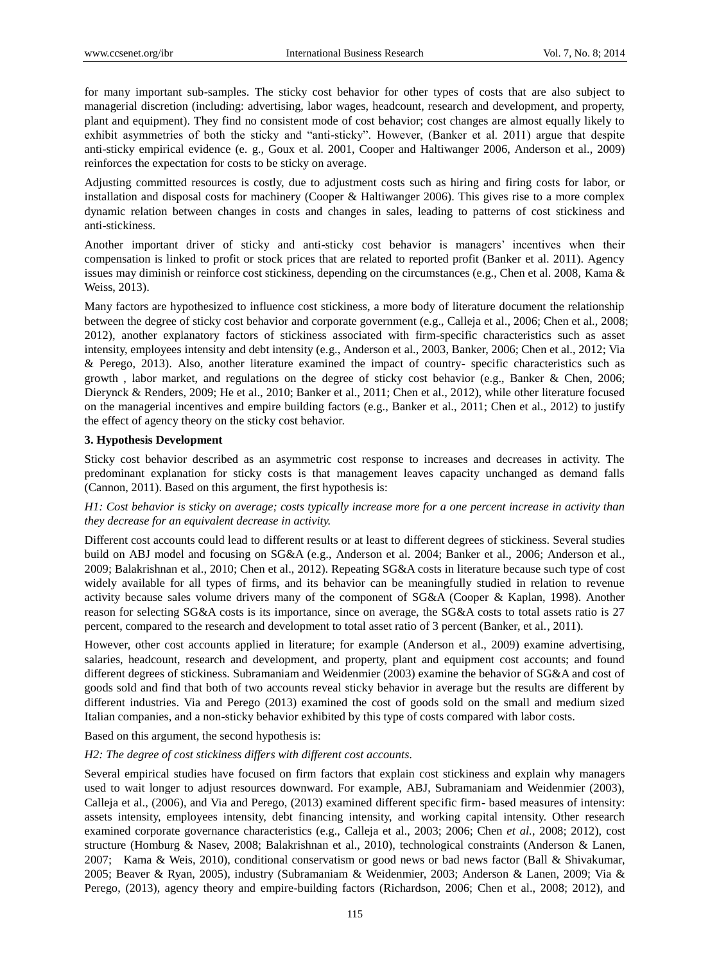for many important sub-samples. The sticky cost behavior for other types of costs that are also subject to managerial discretion (including: advertising, labor wages, headcount, research and development, and property, plant and equipment). They find no consistent mode of cost behavior; cost changes are almost equally likely to exhibit asymmetries of both the sticky and "anti-sticky". However, (Banker et al. 2011) argue that despite anti-sticky empirical evidence (e. g., Goux et al. 2001, Cooper and Haltiwanger 2006, Anderson et al., 2009) reinforces the expectation for costs to be sticky on average.

Adjusting committed resources is costly, due to adjustment costs such as hiring and firing costs for labor, or installation and disposal costs for machinery (Cooper & Haltiwanger 2006). This gives rise to a more complex dynamic relation between changes in costs and changes in sales, leading to patterns of cost stickiness and anti-stickiness.

Another important driver of sticky and anti-sticky cost behavior is managers' incentives when their compensation is linked to profit or stock prices that are related to reported profit (Banker et al. 2011). Agency issues may diminish or reinforce cost stickiness, depending on the circumstances (e.g., Chen et al. 2008, Kama & Weiss, 2013).

Many factors are hypothesized to influence cost stickiness, a more body of literature document the relationship between the degree of sticky cost behavior and corporate government (e.g., Calleja et al., 2006; Chen et al., 2008; 2012), another explanatory factors of stickiness associated with firm-specific characteristics such as asset intensity, employees intensity and debt intensity (e.g., Anderson et al., 2003, Banker, 2006; Chen et al., 2012; Via & Perego, 2013). Also, another literature examined the impact of country- specific characteristics such as growth , labor market, and regulations on the degree of sticky cost behavior (e.g., Banker & Chen, 2006; Dierynck & Renders, 2009; He et al., 2010; Banker et al., 2011; Chen et al., 2012), while other literature focused on the managerial incentives and empire building factors (e.g., Banker et al., 2011; Chen et al., 2012) to justify the effect of agency theory on the sticky cost behavior.

#### **3. Hypothesis Development**

Sticky cost behavior described as an asymmetric cost response to increases and decreases in activity. The predominant explanation for sticky costs is that management leaves capacity unchanged as demand falls (Cannon, 2011). Based on this argument, the first hypothesis is:

## *H1: Cost behavior is sticky on average; costs typically increase more for a one percent increase in activity than they decrease for an equivalent decrease in activity.*

Different cost accounts could lead to different results or at least to different degrees of stickiness. Several studies build on ABJ model and focusing on SG&A (e.g., Anderson et al. 2004; Banker et al., 2006; Anderson et al., 2009; Balakrishnan et al., 2010; Chen et al., 2012). Repeating SG&A costs in literature because such type of cost widely available for all types of firms, and its behavior can be meaningfully studied in relation to revenue activity because sales volume drivers many of the component of SG&A (Cooper & Kaplan, 1998). Another reason for selecting SG&A costs is its importance, since on average, the SG&A costs to total assets ratio is 27 percent, compared to the research and development to total asset ratio of 3 percent (Banker, et al., 2011).

However, other cost accounts applied in literature; for example (Anderson et al., 2009) examine advertising, salaries, headcount, research and development, and property, plant and equipment cost accounts; and found different degrees of stickiness. Subramaniam and Weidenmier (2003) examine the behavior of SG&A and cost of goods sold and find that both of two accounts reveal sticky behavior in average but the results are different by different industries. Via and Perego (2013) examined the cost of goods sold on the small and medium sized Italian companies, and a non-sticky behavior exhibited by this type of costs compared with labor costs.

Based on this argument, the second hypothesis is:

#### *H2: The degree of cost stickiness differs with different cost accounts.*

Several empirical studies have focused on firm factors that explain cost stickiness and explain why managers used to wait longer to adjust resources downward. For example, ABJ, Subramaniam and Weidenmier (2003), Calleja et al., (2006), and Via and Perego, (2013) examined different specific firm- based measures of intensity: assets intensity, employees intensity, debt financing intensity, and working capital intensity. Other research examined corporate governance characteristics (e.g., Calleja et al., 2003; 2006; Chen *et al.*, 2008; 2012), cost structure (Homburg & Nasev, 2008; Balakrishnan et al., 2010), technological constraints (Anderson & Lanen, 2007; Kama & Weis, 2010), conditional conservatism or good news or bad news factor (Ball & Shivakumar, 2005; Beaver & Ryan, 2005), industry (Subramaniam & Weidenmier, 2003; Anderson & Lanen, 2009; Via & Perego, (2013), agency theory and empire-building factors (Richardson, 2006; Chen et al., 2008; 2012), and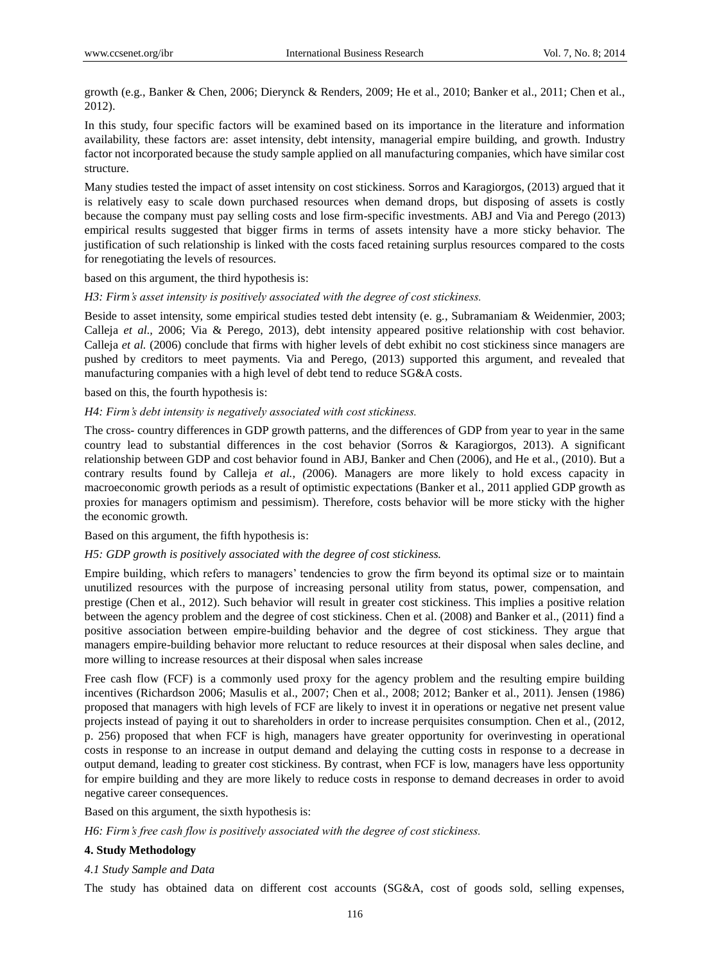growth (e.g., Banker & Chen, 2006; Dierynck & Renders, 2009; He et al., 2010; Banker et al., 2011; Chen et al., 2012).

In this study, four specific factors will be examined based on its importance in the literature and information availability, these factors are: asset intensity, debt intensity, managerial empire building, and growth. Industry factor not incorporated because the study sample applied on all manufacturing companies, which have similar cost structure.

Many studies tested the impact of asset intensity on cost stickiness. Sorros and Karagiorgos, (2013) argued that it is relatively easy to scale down purchased resources when demand drops, but disposing of assets is costly because the company must pay selling costs and lose firm-specific investments. ABJ and Via and Perego (2013) empirical results suggested that bigger firms in terms of assets intensity have a more sticky behavior. The justification of such relationship is linked with the costs faced retaining surplus resources compared to the costs for renegotiating the levels of resources.

based on this argument, the third hypothesis is:

#### *H3: Firm's asset intensity is positively associated with the degree of cost stickiness.*

Beside to asset intensity, some empirical studies tested debt intensity (e. g., Subramaniam & Weidenmier, 2003; Calleja *et al.,* 2006; Via & Perego, 2013), debt intensity appeared positive relationship with cost behavior. Calleja *et al.* (2006) conclude that firms with higher levels of debt exhibit no cost stickiness since managers are pushed by creditors to meet payments. Via and Perego, (2013) supported this argument, and revealed that manufacturing companies with a high level of debt tend to reduce SG&A costs.

#### based on this, the fourth hypothesis is:

#### *H4: Firm's debt intensity is negatively associated with cost stickiness.*

The cross- country differences in GDP growth patterns, and the differences of GDP from year to year in the same country lead to substantial differences in the cost behavior (Sorros & Karagiorgos, 2013). A significant relationship between GDP and cost behavior found in ABJ, Banker and Chen (2006), and He et al., (2010). But a contrary results found by Calleja *et al., (*2006). Managers are more likely to hold excess capacity in macroeconomic growth periods as a result of optimistic expectations (Banker et al., 2011 applied GDP growth as proxies for managers optimism and pessimism). Therefore, costs behavior will be more sticky with the higher the economic growth.

Based on this argument, the fifth hypothesis is:

#### *H5: GDP growth is positively associated with the degree of cost stickiness.*

Empire building, which refers to managers' tendencies to grow the firm beyond its optimal size or to maintain unutilized resources with the purpose of increasing personal utility from status, power, compensation, and prestige (Chen et al., 2012). Such behavior will result in greater cost stickiness. This implies a positive relation between the agency problem and the degree of cost stickiness. Chen et al. (2008) and Banker et al., (2011) find a positive association between empire-building behavior and the degree of cost stickiness. They argue that managers empire-building behavior more reluctant to reduce resources at their disposal when sales decline, and more willing to increase resources at their disposal when sales increase

Free cash flow (FCF) is a commonly used proxy for the agency problem and the resulting empire building incentives (Richardson 2006; Masulis et al., 2007; Chen et al., 2008; 2012; Banker et al., 2011). Jensen (1986) proposed that managers with high levels of FCF are likely to invest it in operations or negative net present value projects instead of paying it out to shareholders in order to increase perquisites consumption. Chen et al., (2012, p. 256) proposed that when FCF is high, managers have greater opportunity for overinvesting in operational costs in response to an increase in output demand and delaying the cutting costs in response to a decrease in output demand, leading to greater cost stickiness. By contrast, when FCF is low, managers have less opportunity for empire building and they are more likely to reduce costs in response to demand decreases in order to avoid negative career consequences.

Based on this argument, the sixth hypothesis is:

*H6: Firm's free cash flow is positively associated with the degree of cost stickiness.*

#### **4. Study Methodology**

#### *4.1 Study Sample and Data*

The study has obtained data on different cost accounts (SG&A, cost of goods sold, selling expenses,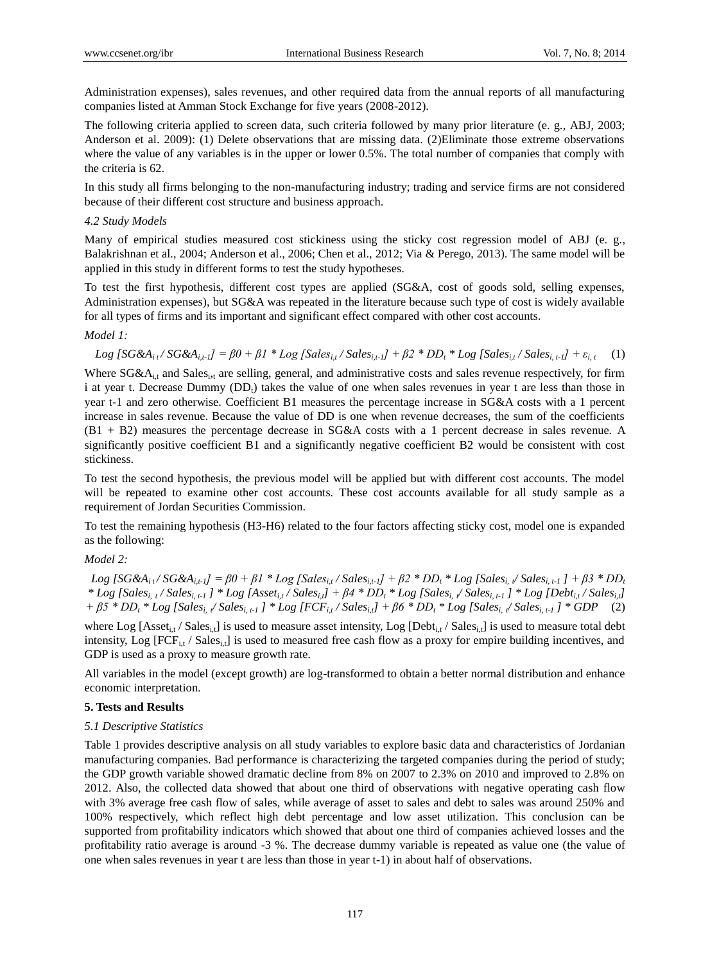Administration expenses), sales revenues, and other required data from the annual reports of all manufacturing companies listed at Amman Stock Exchange for five years (2008-2012).

The following criteria applied to screen data, such criteria followed by many prior literature (e. g., ABJ, 2003; Anderson et al. 2009): (1) Delete observations that are missing data. (2)Eliminate those extreme observations where the value of any variables is in the upper or lower 0.5%. The total number of companies that comply with the criteria is 62.

In this study all firms belonging to the non-manufacturing industry; trading and service firms are not considered because of their different cost structure and business approach.

#### *4.2 Study Models*

Many of empirical studies measured cost stickiness using the sticky cost regression model of ABJ (e. g., Balakrishnan et al., 2004; Anderson et al., 2006; Chen et al., 2012; Via & Perego, 2013). The same model will be applied in this study in different forms to test the study hypotheses.

To test the first hypothesis, different cost types are applied (SG&A, cost of goods sold, selling expenses, Administration expenses), but SG&A was repeated in the literature because such type of cost is widely available for all types of firms and its important and significant effect compared with other cost accounts.

## *Model 1:*

Log [SG&A<sub>it</sub>/SG&A<sub>it-1</sub>] =  $\beta$ 0 +  $\beta$ 1 \* Log [Sales<sub>it</sub>/Sales<sub>it-1</sub>] +  $\beta$ 2 \* DD<sub>t</sub> \* Log [Sales<sub>it</sub>/Sales<sub>it-1</sub>] +  $\varepsilon$ <sub>it</sub> (1)

Where SG&A<sub>i,t</sub> and Sales<sub>i,t</sub> are selling, general, and administrative costs and sales revenue respectively, for firm i at year t. Decrease Dummy (DD<sub>t</sub>) takes the value of one when sales revenues in year t are less than those in year t-1 and zero otherwise. Coefficient B1 measures the percentage increase in SG&A costs with a 1 percent increase in sales revenue. Because the value of DD is one when revenue decreases, the sum of the coefficients (B1 + B2) measures the percentage decrease in SG&A costs with a 1 percent decrease in sales revenue. A significantly positive coefficient B1 and a significantly negative coefficient B2 would be consistent with cost stickiness.

To test the second hypothesis, the previous model will be applied but with different cost accounts. The model will be repeated to examine other cost accounts. These cost accounts available for all study sample as a requirement of Jordan Securities Commission.

To test the remaining hypothesis (H3-H6) related to the four factors affecting sticky cost, model one is expanded as the following:

## *Model 2:*

Log [SG&A<sub>it</sub>/SG&A<sub>it</sub>-1] =  $\beta 0$  +  $\beta 1$  \* Log [Sales<sub>it</sub>/Sales<sub>it-1</sub>] +  $\beta 2$  \* DD<sub>t</sub> \* Log [Sales<sub>i, 1</sub>/Sales<sub>i, t-1</sub>] +  $\beta 3$  \* DD<sub>t</sub> \* Log [Sales<sub>i, 1</sub>/Sales<sub>i, 1</sub>.1] \* Log [Asset<sub>i,t</sub>/Sales<sub>i,t</sub>] +  $\beta$ 4 \* DD<sub>t</sub> \* Log [Sales<sub>i, 1</sub>/Sales<sub>i,t-1</sub>] \* Log [Debt<sub>i,t</sub>/Sales<sub>i,t</sub>]  $+\beta 5 * DD_t * Log [Sales_{i, k} / Sales_{i, t} ] * Log [FCF_{i, t} / Sales_{i, t}] + \beta 6 * DD_t * Log [Sales_{i, k} / Sales_{i, t} ] * GDP$  (2)

where Log  $[Ass_{i,t}/Sales_{i,t}]$  is used to measure asset intensity, Log  $[Debt_{i,t}/Sales_{i,t}]$  is used to measure total debt intensity, Log  $[FCF_{i,t} / Sales_{i,t}]$  is used to measured free cash flow as a proxy for empire building incentives, and GDP is used as a proxy to measure growth rate.

All variables in the model (except growth) are log-transformed to obtain a better normal distribution and enhance economic interpretation.

#### **5. Tests and Results**

#### *5.1 Descriptive Statistics*

Table 1 provides descriptive analysis on all study variables to explore basic data and characteristics of Jordanian manufacturing companies. Bad performance is characterizing the targeted companies during the period of study; the GDP growth variable showed dramatic decline from 8% on 2007 to 2.3% on 2010 and improved to 2.8% on 2012. Also, the collected data showed that about one third of observations with negative operating cash flow with 3% average free cash flow of sales, while average of asset to sales and debt to sales was around 250% and 100% respectively, which reflect high debt percentage and low asset utilization. This conclusion can be supported from profitability indicators which showed that about one third of companies achieved losses and the profitability ratio average is around -3 %. The decrease dummy variable is repeated as value one (the value of one when sales revenues in year t are less than those in year t-1) in about half of observations.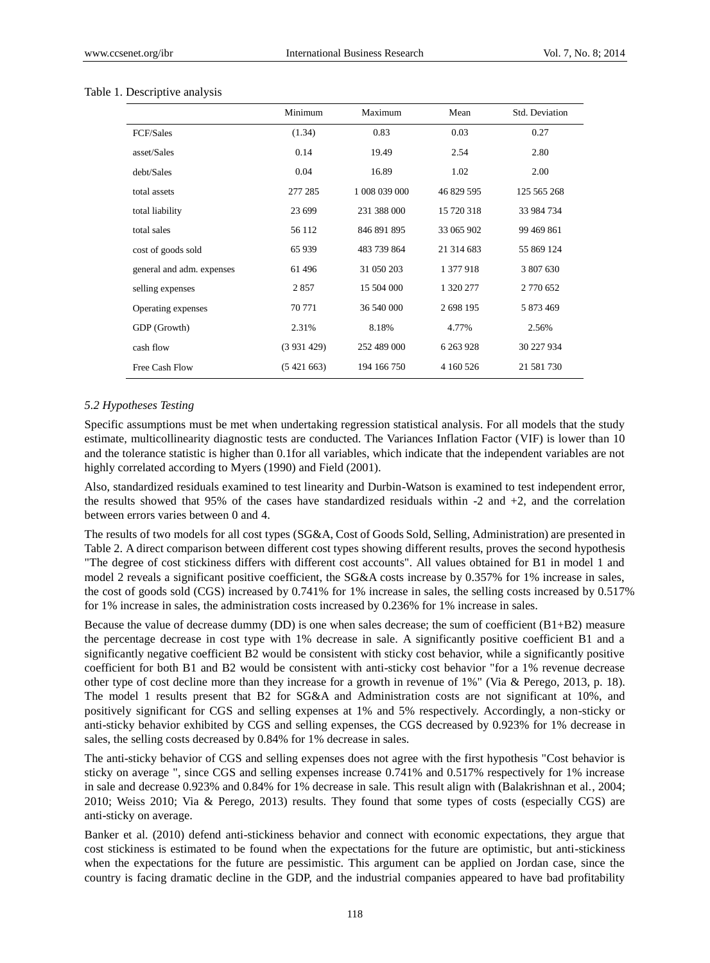|                           | Minimum   | Maximum       | Mean          | Std. Deviation |
|---------------------------|-----------|---------------|---------------|----------------|
| <b>FCF/Sales</b>          | (1.34)    | 0.83          | 0.03          | 0.27           |
| asset/Sales               | 0.14      | 19.49         | 2.54          | 2.80           |
| debt/Sales                | 0.04      | 16.89         | 1.02          | 2.00           |
| total assets              | 277 285   | 1 008 039 000 | 46 829 595    | 125 565 268    |
| total liability           | 23 699    | 231 388 000   | 15 720 318    | 33 984 734     |
| total sales               | 56 112    | 846 891 895   | 33 065 902    | 99 469 861     |
| cost of goods sold        | 65 939    | 483 739 864   | 21 314 683    | 55 869 124     |
| general and adm. expenses | 61 49 6   | 31 050 203    | 1 377 918     | 3 807 630      |
| selling expenses          | 2857      | 15 504 000    | 1 320 277     | 2 770 652      |
| Operating expenses        | 70 771    | 36 540 000    | 2 698 195     | 5 873 469      |
| GDP (Growth)              | 2.31%     | 8.18%         | 4.77%         | 2.56%          |
| cash flow                 | (3931429) | 252 489 000   | 6 2 6 3 9 2 8 | 30 227 934     |
| Free Cash Flow            | (5421663) | 194 166 750   | 4 160 526     | 21 581 730     |

#### Table 1. Descriptive analysis

#### *5.2 Hypotheses Testing*

Specific assumptions must be met when undertaking regression statistical analysis. For all models that the study estimate, multicollinearity diagnostic tests are conducted. The Variances Inflation Factor (VIF) is lower than 10 and the tolerance statistic is higher than 0.1for all variables, which indicate that the independent variables are not highly correlated according to Myers (1990) and Field (2001).

Also, standardized residuals examined to test linearity and Durbin-Watson is examined to test independent error, the results showed that 95% of the cases have standardized residuals within -2 and +2, and the correlation between errors varies between 0 and 4.

The results of two models for all cost types (SG&A, Cost of Goods Sold, Selling, Administration) are presented in Table 2. A direct comparison between different cost types showing different results, proves the second hypothesis "The degree of cost stickiness differs with different cost accounts". All values obtained for B1 in model 1 and model 2 reveals a significant positive coefficient, the SG&A costs increase by 0.357% for 1% increase in sales, the cost of goods sold (CGS) increased by 0.741% for 1% increase in sales, the selling costs increased by 0.517% for 1% increase in sales, the administration costs increased by 0.236% for 1% increase in sales.

Because the value of decrease dummy (DD) is one when sales decrease; the sum of coefficient (B1+B2) measure the percentage decrease in cost type with 1% decrease in sale. A significantly positive coefficient B1 and a significantly negative coefficient B2 would be consistent with sticky cost behavior, while a significantly positive coefficient for both B1 and B2 would be consistent with anti-sticky cost behavior "for a 1% revenue decrease other type of cost decline more than they increase for a growth in revenue of 1%" (Via & Perego, 2013, p. 18). The model 1 results present that B2 for SG&A and Administration costs are not significant at 10%, and positively significant for CGS and selling expenses at 1% and 5% respectively. Accordingly, a non-sticky or anti-sticky behavior exhibited by CGS and selling expenses, the CGS decreased by 0.923% for 1% decrease in sales, the selling costs decreased by 0.84% for 1% decrease in sales.

The anti-sticky behavior of CGS and selling expenses does not agree with the first hypothesis "Cost behavior is sticky on average ", since CGS and selling expenses increase 0.741% and 0.517% respectively for 1% increase in sale and decrease 0.923% and 0.84% for 1% decrease in sale. This result align with (Balakrishnan et al., 2004; 2010; Weiss 2010; Via & Perego, 2013) results. They found that some types of costs (especially CGS) are anti-sticky on average.

Banker et al. (2010) defend anti-stickiness behavior and connect with economic expectations, they argue that cost stickiness is estimated to be found when the expectations for the future are optimistic, but anti-stickiness when the expectations for the future are pessimistic. This argument can be applied on Jordan case, since the country is facing dramatic decline in the GDP, and the industrial companies appeared to have bad profitability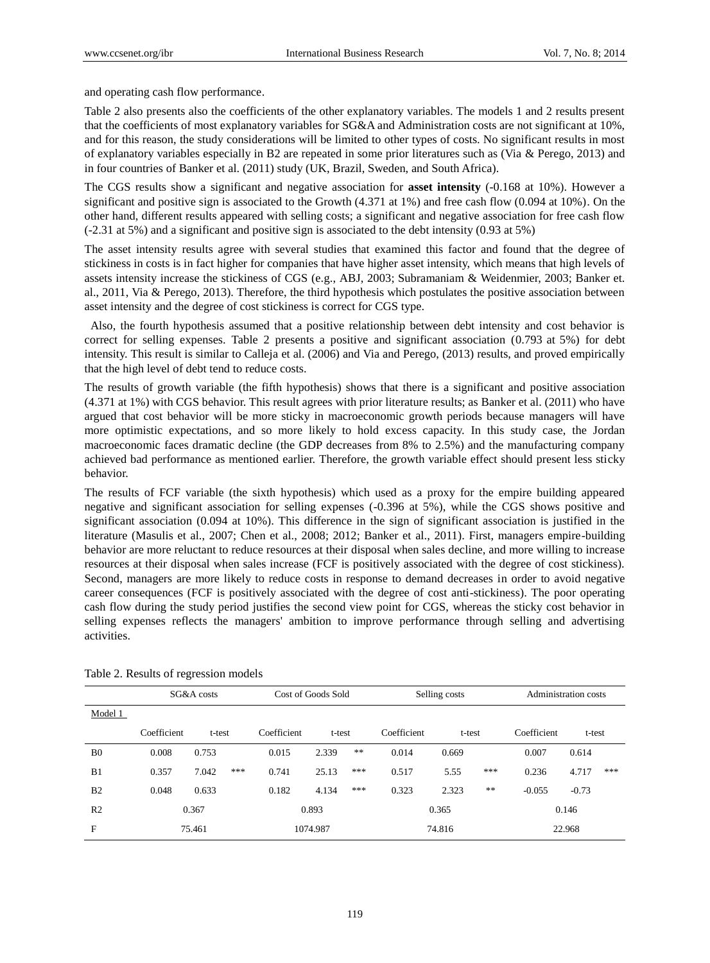and operating cash flow performance.

Table 2 also presents also the coefficients of the other explanatory variables. The models 1 and 2 results present that the coefficients of most explanatory variables for SG&A and Administration costs are not significant at 10%, and for this reason, the study considerations will be limited to other types of costs. No significant results in most of explanatory variables especially in B2 are repeated in some prior literatures such as (Via & Perego, 2013) and in four countries of Banker et al. (2011) study (UK, Brazil, Sweden, and South Africa).

The CGS results show a significant and negative association for **asset intensity** (-0.168 at 10%). However a significant and positive sign is associated to the Growth (4.371 at 1%) and free cash flow (0.094 at 10%). On the other hand, different results appeared with selling costs; a significant and negative association for free cash flow (-2.31 at 5%) and a significant and positive sign is associated to the debt intensity (0.93 at 5%)

The asset intensity results agree with several studies that examined this factor and found that the degree of stickiness in costs is in fact higher for companies that have higher asset intensity, which means that high levels of assets intensity increase the stickiness of CGS (e.g., ABJ, 2003; Subramaniam & Weidenmier, 2003; Banker et. al., 2011, Via & Perego, 2013). Therefore, the third hypothesis which postulates the positive association between asset intensity and the degree of cost stickiness is correct for CGS type.

Also, the fourth hypothesis assumed that a positive relationship between debt intensity and cost behavior is correct for selling expenses. Table 2 presents a positive and significant association (0.793 at 5%) for debt intensity. This result is similar to Calleja et al. (2006) and Via and Perego, (2013) results, and proved empirically that the high level of debt tend to reduce costs.

The results of growth variable (the fifth hypothesis) shows that there is a significant and positive association (4.371 at 1%) with CGS behavior. This result agrees with prior literature results; as Banker et al. (2011) who have argued that cost behavior will be more sticky in macroeconomic growth periods because managers will have more optimistic expectations, and so more likely to hold excess capacity. In this study case, the Jordan macroeconomic faces dramatic decline (the GDP decreases from 8% to 2.5%) and the manufacturing company achieved bad performance as mentioned earlier. Therefore, the growth variable effect should present less sticky behavior.

The results of FCF variable (the sixth hypothesis) which used as a proxy for the empire building appeared negative and significant association for selling expenses (-0.396 at 5%), while the CGS shows positive and significant association (0.094 at 10%). This difference in the sign of significant association is justified in the literature (Masulis et al., 2007; Chen et al., 2008; 2012; Banker et al., 2011). First, managers empire-building behavior are more reluctant to reduce resources at their disposal when sales decline, and more willing to increase resources at their disposal when sales increase (FCF is positively associated with the degree of cost stickiness). Second, managers are more likely to reduce costs in response to demand decreases in order to avoid negative career consequences (FCF is positively associated with the degree of cost anti-stickiness). The poor operating cash flow during the study period justifies the second view point for CGS, whereas the sticky cost behavior in selling expenses reflects the managers' ambition to improve performance through selling and advertising activities.

|                | SG&A costs  |              |             | Cost of Goods Sold |             | Selling costs |        |      | Administration costs |         |     |  |
|----------------|-------------|--------------|-------------|--------------------|-------------|---------------|--------|------|----------------------|---------|-----|--|
| Model 1        |             |              |             |                    |             |               |        |      |                      |         |     |  |
|                | Coefficient | t-test       | Coefficient | t-test             |             | Coefficient   | t-test |      | Coefficient          | t-test  |     |  |
| B <sub>0</sub> | 0.008       | 0.753        | 0.015       | 2.339              | $\pm\, \pm$ | 0.014         | 0.669  |      | 0.007                | 0.614   |     |  |
| B1             | 0.357       | ***<br>7.042 | 0.741       | 25.13              | ***         | 0.517         | 5.55   | ***  | 0.236                | 4.717   | *** |  |
| B <sub>2</sub> | 0.048       | 0.633        | 0.182       | 4.134              | ***         | 0.323         | 2.323  | $**$ | $-0.055$             | $-0.73$ |     |  |
| R <sub>2</sub> |             | 0.367        |             | 0.893              |             |               | 0.365  |      |                      | 0.146   |     |  |
| F              |             | 75.461       |             | 1074.987           |             |               | 74.816 |      |                      | 22.968  |     |  |

Table 2. Results of regression models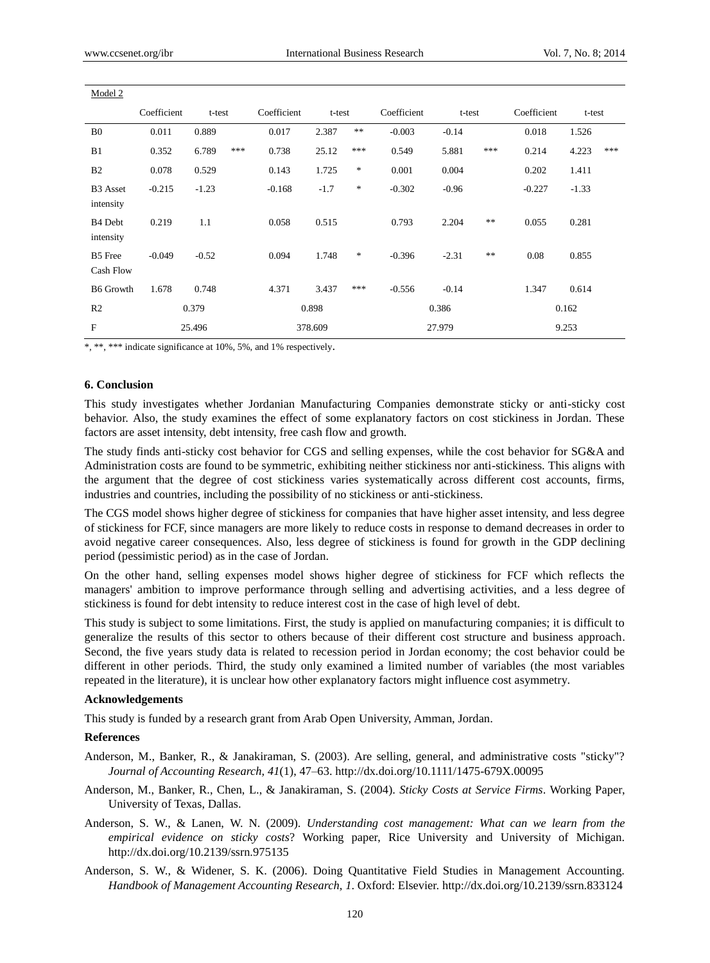| Model 2                          |             |         |     |             |         |        |             |         |            |             |         |     |
|----------------------------------|-------------|---------|-----|-------------|---------|--------|-------------|---------|------------|-------------|---------|-----|
|                                  | Coefficient | t-test  |     | Coefficient | t-test  |        | Coefficient | t-test  |            | Coefficient | t-test  |     |
| B <sub>0</sub>                   | 0.011       | 0.889   |     | 0.017       | 2.387   | **     | $-0.003$    | $-0.14$ |            | 0.018       | 1.526   |     |
| B1                               | 0.352       | 6.789   | *** | 0.738       | 25.12   | ***    | 0.549       | 5.881   | ***        | 0.214       | 4.223   | *** |
| B <sub>2</sub>                   | 0.078       | 0.529   |     | 0.143       | 1.725   | $\ast$ | 0.001       | 0.004   |            | 0.202       | 1.411   |     |
| <b>B3</b> Asset<br>intensity     | $-0.215$    | $-1.23$ |     | $-0.168$    | $-1.7$  | $\ast$ | $-0.302$    | $-0.96$ |            | $-0.227$    | $-1.33$ |     |
| B <sub>4</sub> Debt<br>intensity | 0.219       | 1.1     |     | 0.058       | 0.515   |        | 0.793       | 2.204   | $\ast\ast$ | 0.055       | 0.281   |     |
| <b>B5</b> Free<br>Cash Flow      | $-0.049$    | $-0.52$ |     | 0.094       | 1.748   | $*$    | $-0.396$    | $-2.31$ | **         | 0.08        | 0.855   |     |
| <b>B6</b> Growth                 | 1.678       | 0.748   |     | 4.371       | 3.437   | ***    | $-0.556$    | $-0.14$ |            | 1.347       | 0.614   |     |
| R <sub>2</sub>                   | 0.379       |         |     | 0.898       |         |        | 0.386       |         |            | 0.162       |         |     |
| F                                | 25.496      |         |     |             | 378.609 |        | 27.979      |         |            | 9.253       |         |     |

\*, \*\*, \*\*\* indicate significance at 10%, 5%, and 1% respectively.

#### **6. Conclusion**

This study investigates whether Jordanian Manufacturing Companies demonstrate sticky or anti-sticky cost behavior. Also, the study examines the effect of some explanatory factors on cost stickiness in Jordan. These factors are asset intensity, debt intensity, free cash flow and growth.

The study finds anti-sticky cost behavior for CGS and selling expenses, while the cost behavior for SG&A and Administration costs are found to be symmetric, exhibiting neither stickiness nor anti-stickiness. This aligns with the argument that the degree of cost stickiness varies systematically across different cost accounts, firms, industries and countries, including the possibility of no stickiness or anti-stickiness.

The CGS model shows higher degree of stickiness for companies that have higher asset intensity, and less degree of stickiness for FCF, since managers are more likely to reduce costs in response to demand decreases in order to avoid negative career consequences. Also, less degree of stickiness is found for growth in the GDP declining period (pessimistic period) as in the case of Jordan.

On the other hand, selling expenses model shows higher degree of stickiness for FCF which reflects the managers' ambition to improve performance through selling and advertising activities, and a less degree of stickiness is found for debt intensity to reduce interest cost in the case of high level of debt.

This study is subject to some limitations. First, the study is applied on manufacturing companies; it is difficult to generalize the results of this sector to others because of their different cost structure and business approach. Second, the five years study data is related to recession period in Jordan economy; the cost behavior could be different in other periods. Third, the study only examined a limited number of variables (the most variables repeated in the literature), it is unclear how other explanatory factors might influence cost asymmetry.

#### **Acknowledgements**

This study is funded by a research grant from Arab Open University, Amman, Jordan.

#### **References**

- Anderson, M., Banker, R., & Janakiraman, S. (2003). Are selling, general, and administrative costs "sticky"? *Journal of Accounting Research, 41*(1), 47–63. http://dx.doi.org/10.1111/1475-679X.00095
- Anderson, M., Banker, R., Chen, L., & Janakiraman, S. (2004). *Sticky Costs at Service Firms*. Working Paper, University of Texas, Dallas.
- Anderson, S. W., & Lanen, W. N. (2009). *Understanding cost management: What can we learn from the empirical evidence on sticky costs*? Working paper, Rice University and University of Michigan. http://dx.doi.org/10.2139/ssrn.975135
- Anderson, S. W., & Widener, S. K. (2006). Doing Quantitative Field Studies in Management Accounting. *Handbook of Management Accounting Research, 1*. Oxford: Elsevier. http://dx.doi.org/10.2139/ssrn.833124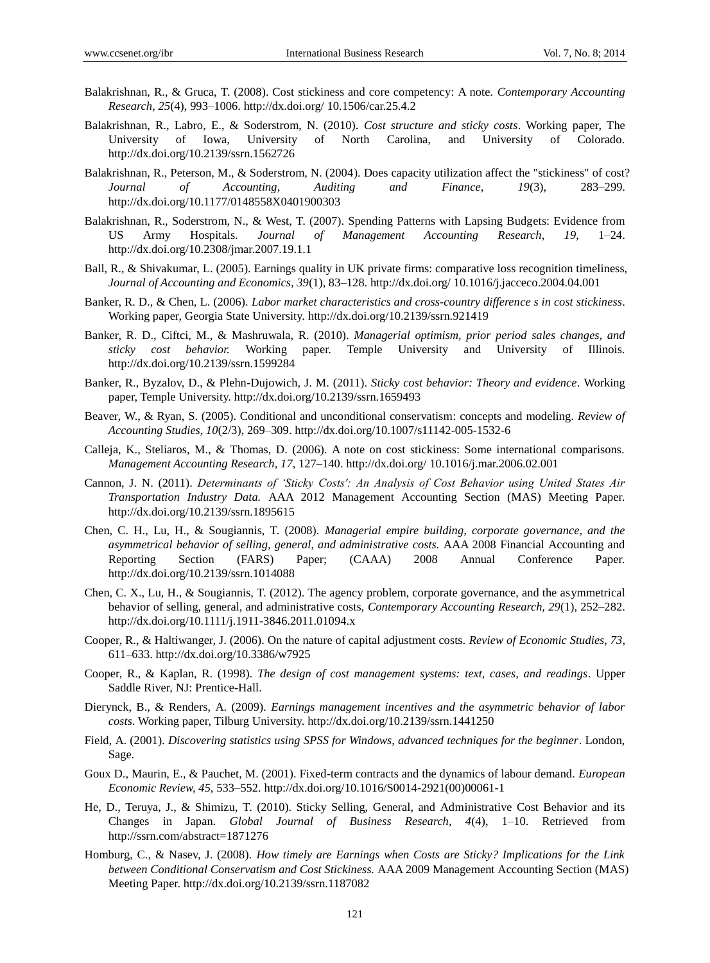- Balakrishnan, R., & Gruca, T. (2008). Cost stickiness and core competency: A note. *Contemporary Accounting Research, 25*(4), 993–1006. http://dx.doi.org/ 10.1506/car.25.4.2
- Balakrishnan, R., Labro, E., & Soderstrom, N. (2010). *Cost structure and sticky costs*. Working paper, The University of Iowa, University of North Carolina, and University of Colorado. http://dx.doi.org/10.2139/ssrn.1562726
- Balakrishnan, R., Peterson, M., & Soderstrom, N. (2004). Does capacity utilization affect the "stickiness" of cost? *Journal of Accounting, Auditing and Finance, 19*(3), 283–299. http://dx.doi.org/10.1177/0148558X0401900303
- Balakrishnan, R., Soderstrom, N., & West, T. (2007). Spending Patterns with Lapsing Budgets: Evidence from US Army Hospitals. *Journal of Management Accounting Research, 19*, 1–24. http://dx.doi.org/10.2308/jmar.2007.19.1.1
- Ball, R., & Shivakumar, L. (2005). Earnings quality in UK private firms: comparative loss recognition timeliness, *Journal of Accounting and Economics, 39*(1), 83–128. http://dx.doi.org/ 10.1016/j.jacceco.2004.04.001
- Banker, R. D., & Chen, L. (2006). *Labor market characteristics and cross-country difference s in cost stickiness*. Working paper, Georgia State University. http://dx.doi.org/10.2139/ssrn.921419
- Banker, R. D., Ciftci, M., & Mashruwala, R. (2010). *Managerial optimism, prior period sales changes, and sticky cost behavior.* Working paper. Temple University and University of Illinois. http://dx.doi.org/10.2139/ssrn.1599284
- Banker, R., Byzalov, D., & Plehn-Dujowich, J. M. (2011). *Sticky cost behavior: Theory and evidence*. Working paper, Temple University. http://dx.doi.org/10.2139/ssrn.1659493
- Beaver, W., & Ryan, S. (2005). Conditional and unconditional conservatism: concepts and modeling. *Review of Accounting Studies, 10*(2/3), 269–309. http://dx.doi.org/10.1007/s11142-005-1532-6
- Calleja, K., Steliaros, M., & Thomas, D. (2006). A note on cost stickiness: Some international comparisons. *Management Accounting Research, 17*, 127–140. http://dx.doi.org/ 10.1016/j.mar.2006.02.001
- Cannon, J. N. (2011). *Determinants of 'Sticky Costs': An Analysis of Cost Behavior using United States Air Transportation Industry Data.* AAA 2012 Management Accounting Section (MAS) Meeting Paper. http://dx.doi.org/10.2139/ssrn.1895615
- Chen, C. H., Lu, H., & Sougiannis, T. (2008). *Managerial empire building, corporate governance, and the asymmetrical behavior of selling, general, and administrative costs.* AAA 2008 Financial Accounting and Reporting Section (FARS) Paper; (CAAA) 2008 Annual Conference Paper. http://dx.doi.org/10.2139/ssrn.1014088
- Chen, C. X., Lu, H., & Sougiannis, T. (2012). The agency problem, corporate governance, and the asymmetrical behavior of selling, general, and administrative costs, *Contemporary Accounting Research, 29*(1), 252–282. http://dx.doi.org/10.1111/j.1911-3846.2011.01094.x
- Cooper, R., & Haltiwanger, J. (2006). On the nature of capital adjustment costs. *Review of Economic Studies, 73*, 611–633. http://dx.doi.org/10.3386/w7925
- Cooper, R., & Kaplan, R. (1998). *The design of cost management systems: text, cases, and readings*. Upper Saddle River, NJ: Prentice-Hall.
- Dierynck, B., & Renders, A. (2009). *Earnings management incentives and the asymmetric behavior of labor costs*. Working paper, Tilburg University. http://dx.doi.org/10.2139/ssrn.1441250
- Field, A. (2001). *Discovering statistics using SPSS for Windows, advanced techniques for the beginner*. London, Sage.
- Goux D., Maurin, E., & Pauchet, M. (2001). Fixed-term contracts and the dynamics of labour demand. *European Economic Review, 45*, 533–552. http://dx.doi.org/10.1016/S0014-2921(00)00061-1
- He, D., Teruya, J., & Shimizu, T. (2010). Sticky Selling, General, and Administrative Cost Behavior and its Changes in Japan. *Global Journal of Business Research, 4*(4), 1–10. Retrieved from http://ssrn.com/abstract=1871276
- Homburg, C., & Nasev, J. (2008). *How timely are Earnings when Costs are Sticky? Implications for the Link between Conditional Conservatism and Cost Stickiness.* AAA 2009 Management Accounting Section (MAS) Meeting Paper. http://dx.doi.org/10.2139/ssrn.1187082